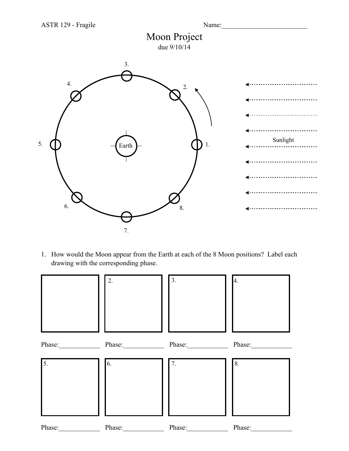



1. How would the Moon appear from the Earth at each of the 8 Moon positions? Label each drawing with the corresponding phase.

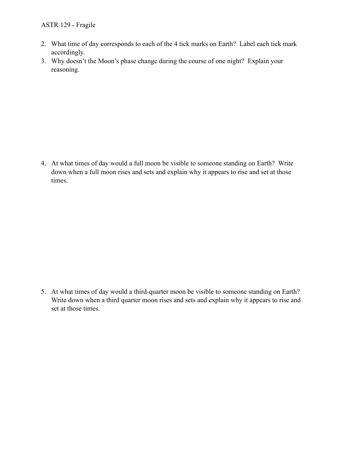## ASTR 129 - Fragile

- 2. What time of day corresponds to each of the 4 tick marks on Earth? Label each tick mark accordingly.
- 3. Why doesn't the Moon's phase change during the course of one night? Explain your reasoning.

4. At what times of day would a full moon be visible to someone standing on Earth? Write down when a full moon rises and sets and explain why it appears to rise and set at those times.

5. At what times of day would a third-quarter moon be visible to someone standing on Earth? Write down when a third quarter moon rises and sets and explain why it appears to rise and set at those times.